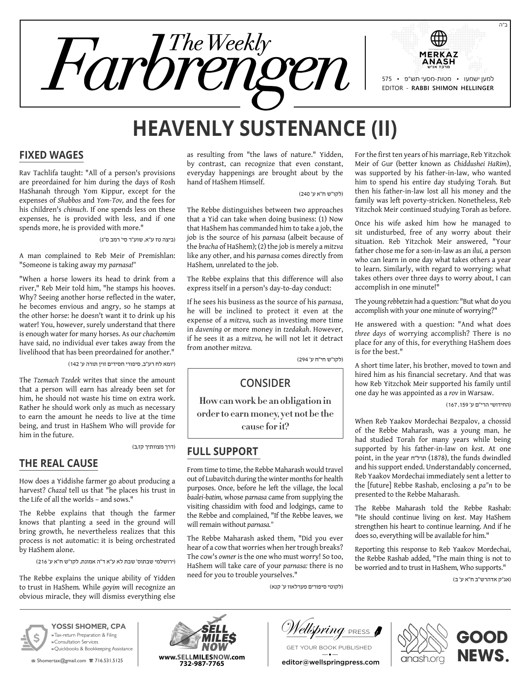

# **Heavenly Sustenance (II)**

#### **Fixed Wages**

Rav Tachlifa taught: "All of a person's provisions are preordained for him during the days of Rosh HaShanah through Yom Kippur, except for the expenses of *Shabbos* and *Yom-Tov,* and the fees for his children's *chinuch*. If one spends less on these expenses, he is provided with less, and if one spends more, he is provided with more."

)ביצה טז ע"א, שוע"ר סי' רמב ס"ג(

A man complained to Reb Meir of Premishlan: "Someone is taking away my *parnasa!"*

"When a horse lowers its head to drink from a river," Reb Meir told him, "he stamps his hooves. Why? Seeing another horse reflected in the water, he becomes envious and angry, so he stamps at the other horse: he doesn't want it to drink up his water! You, however, surely understand that there is enough water for many horses. As our *chachomim* have said, no individual ever takes away from the livelihood that has been preordained for another."

)יומא לח רע"ב, סיפורי חסידים זוין תורה ע' 142(

The *Tzemach Tzedek* writes that since the amount that a person will earn has already been set for him, he should not waste his time on extra work. Rather he should work only as much as necessary to earn the amount he needs to live at the time being, and trust in HaShem Who will provide for him in the future.

)דרך מצוותיך קז,ב(

### **The Real Cause**

How does a Yiddishe farmer go about producing a harvest? *Chazal* tell us that "he places his trust in the Life of all the worlds – and sows."

The Rebbe explains that though the farmer knows that planting a seed in the ground will bring growth, he nevertheless realizes that this process is not automatic: it is being orchestrated by HaShem alone.

)ירושלמי שבתוס' שבת לא ע"א ד"ה אמונת, לקו"ש ח"א ע' 216(

The Rebbe explains the unique ability of Yidden to trust in HaShem*.* While *goyim* will recognize an obvious miracle, they will dismiss everything else

as resulting from "the laws of nature." Yidden, by contrast, can recognize that even constant, everyday happenings are brought about by the hand of HaShem Himself.

)לקו"ש ח"א ע' 240(

The Rebbe distinguishes between two approaches that a Yid can take when doing business: (1) Now that HaShem has commanded him to take a job, the job is the source of his *parnasa* (albeit because of the *bracha* of HaShem); (2) the job is merely a *mitzva* like any other, and his *parnasa* comes directly from HaShem*,* unrelated to the job.

The Rebbe explains that this difference will also express itself in a person's day-to-day conduct:

If he sees his business as the source of his *parnasa*, he will be inclined to protect it even at the expense of a *mitzva,* such as investing more time in *davening* or more money in *tzedakah*. However, if he sees it as a *mitzva,* he will not let it detract from another *mitzva.*

)לקו"ש חי"ח ע' 294(

### **Consider**

**How can work be an obligation in order to earn money, yet not be the cause for it?**

### **Full Support**

From time to time, the Rebbe Maharash would travel out of Lubavitch during the winter months for health purposes. Once, before he left the village, the local *baalei-batim,* whose *parnasa* came from supplying the visiting chassidim with food and lodgings, came to the Rebbe and complained, "If the Rebbe leaves, we will remain without *parnasa."*

The Rebbe Maharash asked them, "Did you ever hear of a cow that worries when her trough breaks? The cow's *owner* is the one who must worry! So too, HaShem will take care of your *parnasa:* there is no need for you to trouble yourselves."

For the first ten years of his marriage, Reb Yitzchok Meir of Gur (better known as *Chiddushei HaRim*), was supported by his father-in-law, who wanted him to spend his entire day studying Torah*.* But then his father-in-law lost all his money and the family was left poverty-stricken. Nonetheless, Reb Yitzchok Meir continued studying Torah as before.

Once his wife asked him how he managed to sit undisturbed, free of any worry about their situation. Reb Yitzchok Meir answered, "Your father chose me for a son-in-law as an *ilui,* a person who can learn in one day what takes others a year to learn. Similarly, with regard to worrying: what takes others over three days to worry about, I can accomplish in one minute!"

The young *rebbetzin* had a question: "But what do you accomplish with your one minute of worrying?"

He answered with a question: "And what does *three days* of worrying accomplish? There is no place for any of this, for everything HaShem does is for the best."

A short time later, his brother, moved to town and hired him as his financial secretary. And that was how Reb Yitzchok Meir supported his family until one day he was appointed as a *rov* in Warsaw.

)החידושי הרי"ם ע' ,159 167(

When Reb Yaakov Mordechai Bezpalov, a chossid of the Rebbe Maharash, was a young man, he had studied Torah for many years while being supported by his father-in-law on *kest*. At one point, in the year חורל"ח (1878), the funds dwindled and his support ended. Understandably concerned, Reb Yaakov Mordechai immediately sent a letter to the [future] Rebbe Rashab, enclosing a *pa"n* to be presented to the Rebbe Maharash.

The Rebbe Maharash told the Rebbe Rashab: "He should continue living on *kest*. May HaShem strengthen his heart to continue learning. And if he does so, everything will be available for him."

Reporting this response to Reb Yaakov Mordechai, the Rebbe Rashab added, "The main thing is not to be worried and to trust in HaShem*,* Who supports."

)אג"ק אדהרש"ב ח"א ע' ב(



**YOSSI SHOMER, CPA »** Tax-return Preparation & Filing **»** Consultation Services **»** Quickbooks & Bookkeeping Assistance

**x** Shomertax@gmail.com 言 716.531.5125



Vellspring <sub>PRESS</sub>

)לקוטי סיפורים פערלאוו ע' קנא(

Get your book published